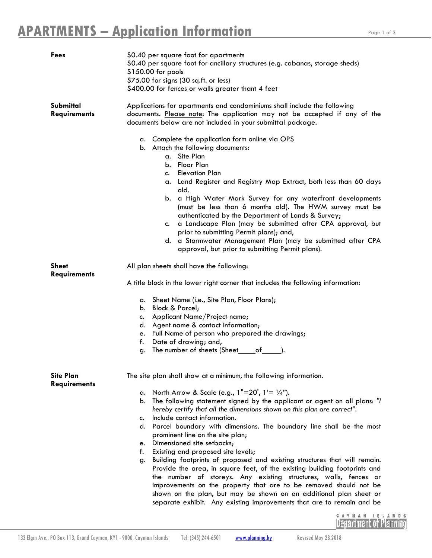| Fees                                    | \$0.40 per square foot for apartments<br>\$0.40 per square foot for ancillary structures (e.g. cabanas, storage sheds)<br>\$150.00 for pools<br>\$75.00 for signs (30 sq.ft. or less)<br>\$400.00 for fences or walls greater thant 4 feet                                                                                                                                                                                                                                                                                                                                                                                                                                                                                                                                                                                                                                                                                                                                                             |
|-----------------------------------------|--------------------------------------------------------------------------------------------------------------------------------------------------------------------------------------------------------------------------------------------------------------------------------------------------------------------------------------------------------------------------------------------------------------------------------------------------------------------------------------------------------------------------------------------------------------------------------------------------------------------------------------------------------------------------------------------------------------------------------------------------------------------------------------------------------------------------------------------------------------------------------------------------------------------------------------------------------------------------------------------------------|
| Submittal<br><b>Requirements</b>        | Applications for apartments and condominiums shall include the following<br>documents. Please note: The application may not be accepted if any of the<br>documents below are not included in your submittal package.                                                                                                                                                                                                                                                                                                                                                                                                                                                                                                                                                                                                                                                                                                                                                                                   |
|                                         | a. Complete the application form online via OPS<br>b. Attach the following documents:<br>a. Site Plan<br>b. Floor Plan<br>c. Elevation Plan<br>a. Land Register and Registry Map Extract, both less than 60 days<br>old.<br>a High Water Mark Survey for any waterfront developments<br>b.<br>(must be less than 6 months old). The HWM survey must be<br>authenticated by the Department of Lands & Survey;<br>a Landscape Plan (may be submitted after CPA approval, but<br>c.<br>prior to submitting Permit plans); and,<br>d. a Stormwater Management Plan (may be submitted after CPA<br>approval, but prior to submitting Permit plans).                                                                                                                                                                                                                                                                                                                                                         |
| <b>Sheet</b><br><b>Requirements</b>     | All plan sheets shall have the following:<br>A title block in the lower right corner that includes the following information:<br>Sheet Name (i.e., Site Plan, Floor Plans);<br>а.<br>b. Block & Parcel;<br>Applicant Name/Project name;<br>c.<br>d. Agent name & contact information;<br>e. Full Name of person who prepared the drawings;<br>Date of drawing; and,<br>f.<br>The number of sheets (Sheet______of________).<br>g.                                                                                                                                                                                                                                                                                                                                                                                                                                                                                                                                                                       |
| <b>Site Plan</b><br><b>Requirements</b> | The site plan shall show at a minimum, the following information.<br>North Arrow & Scale (e.g., $1"=20'$ , $1'=1/4"$ ).<br>а.<br>The following statement signed by the applicant or agent on all plans: "I<br>b.<br>hereby certify that all the dimensions shown on this plan are correct".<br>Include contact information.<br>c.<br>d. Parcel boundary with dimensions. The boundary line shall be the most<br>prominent line on the site plan;<br>Dimensioned site setbacks;<br>e.<br>Existing and proposed site levels;<br>f.<br>Building footprints of proposed and existing structures that will remain.<br>g.<br>Provide the area, in square feet, of the existing building footprints and<br>the number of storeys. Any existing structures, walls, fences or<br>improvements on the property that are to be removed should not be<br>shown on the plan, but may be shown on an additional plan sheet or<br>separate exhibit. Any existing improvements that are to remain and be<br>CAYMAN ISL |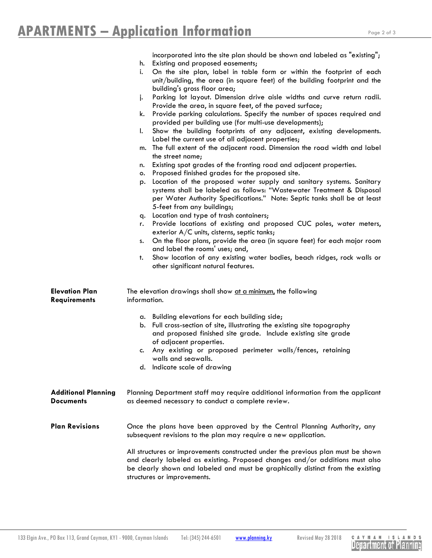|                            | incorporated into the site plan should be shown and labeled as "existing";                                                                                                                                                                                                         |  |
|----------------------------|------------------------------------------------------------------------------------------------------------------------------------------------------------------------------------------------------------------------------------------------------------------------------------|--|
|                            | Existing and proposed easements;<br>h.                                                                                                                                                                                                                                             |  |
|                            | On the site plan, label in table form or within the footprint of each<br>i.<br>unit/building, the area (in square feet) of the building footprint and the                                                                                                                          |  |
|                            | building's gross floor area;                                                                                                                                                                                                                                                       |  |
|                            | Parking lot layout. Dimension drive aisle widths and curve return radii.<br>j.                                                                                                                                                                                                     |  |
|                            | Provide the area, in square feet, of the paved surface;                                                                                                                                                                                                                            |  |
|                            | Provide parking calculations. Specify the number of spaces required and<br>k.                                                                                                                                                                                                      |  |
|                            | provided per building use (for multi-use developments);<br>I.                                                                                                                                                                                                                      |  |
|                            | Show the building footprints of any adjacent, existing developments.<br>Label the current use of all adjacent properties;                                                                                                                                                          |  |
|                            | m. The full extent of the adjacent road. Dimension the road width and label                                                                                                                                                                                                        |  |
|                            | the street name;                                                                                                                                                                                                                                                                   |  |
|                            | Existing spot grades of the fronting road and adjacent properties.<br>n.                                                                                                                                                                                                           |  |
|                            | Proposed finished grades for the proposed site.<br>о.                                                                                                                                                                                                                              |  |
|                            | Location of the proposed water supply and sanitary systems. Sanitary<br>p.<br>systems shall be labeled as follows: "Wastewater Treatment & Disposal<br>per Water Authority Specifications." Note: Septic tanks shall be at least<br>5-feet from any buildings;                     |  |
|                            | Location and type of trash containers;<br>q.                                                                                                                                                                                                                                       |  |
|                            | Provide locations of existing and proposed CUC poles, water meters,<br>r.                                                                                                                                                                                                          |  |
|                            | exterior $A/C$ units, cisterns, septic tanks;                                                                                                                                                                                                                                      |  |
|                            | On the floor plans, provide the area (in square feet) for each major room<br>s.                                                                                                                                                                                                    |  |
|                            | and label the rooms' uses; and,                                                                                                                                                                                                                                                    |  |
|                            | Show location of any existing water bodies, beach ridges, rock walls or<br>t.<br>other significant natural features.                                                                                                                                                               |  |
| <b>Elevation Plan</b>      | The elevation drawings shall show at a minimum, the following                                                                                                                                                                                                                      |  |
| <b>Requirements</b>        | information.                                                                                                                                                                                                                                                                       |  |
|                            | a. Building elevations for each building side;                                                                                                                                                                                                                                     |  |
|                            | Full cross-section of site, illustrating the existing site topography<br>b.                                                                                                                                                                                                        |  |
|                            | and proposed finished site grade. Include existing site grade                                                                                                                                                                                                                      |  |
|                            | of adjacent properties.                                                                                                                                                                                                                                                            |  |
|                            | Any existing or proposed perimeter walls/fences, retaining<br>c.<br>walls and seawalls.                                                                                                                                                                                            |  |
|                            | d. Indicate scale of drawing                                                                                                                                                                                                                                                       |  |
|                            |                                                                                                                                                                                                                                                                                    |  |
| <b>Additional Planning</b> | Planning Department staff may require additional information from the applicant                                                                                                                                                                                                    |  |
| <b>Documents</b>           | as deemed necessary to conduct a complete review.                                                                                                                                                                                                                                  |  |
|                            |                                                                                                                                                                                                                                                                                    |  |
| <b>Plan Revisions</b>      | Once the plans have been approved by the Central Planning Authority, any<br>subsequent revisions to the plan may require a new application.                                                                                                                                        |  |
|                            | All structures or improvements constructed under the previous plan must be shown<br>and clearly labeled as existing. Proposed changes and/or additions must also<br>be clearly shown and labeled and must be graphically distinct from the existing<br>structures or improvements. |  |